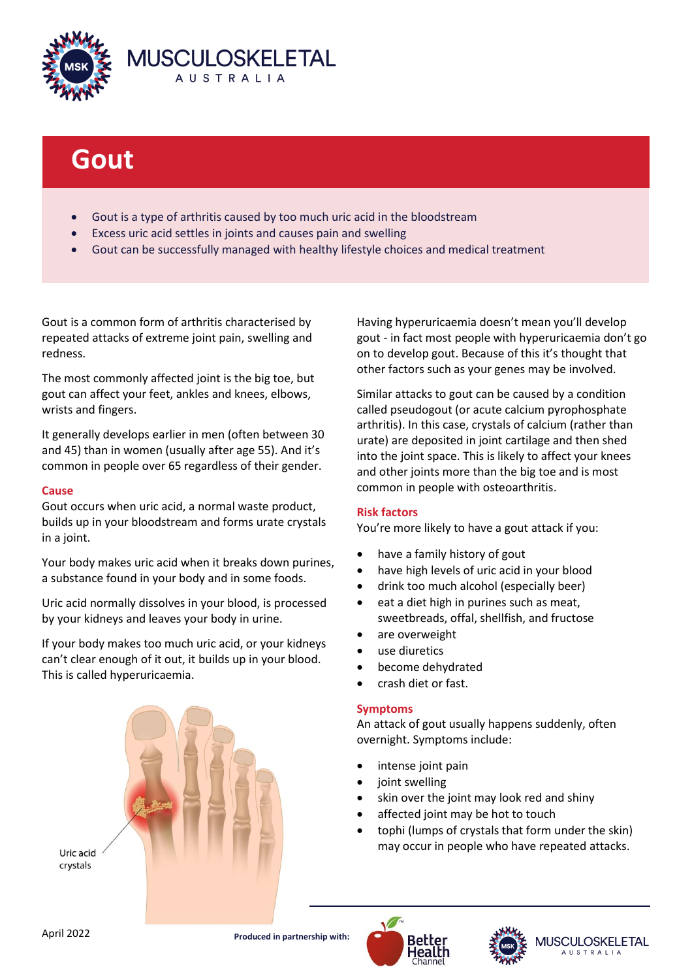

# **Gout**

- Gout is a type of arthritis caused by too much uric acid in the bloodstream
- Excess uric acid settles in joints and causes pain and swelling
- Gout can be successfully managed with healthy lifestyle choices and medical treatment

Gout is a common form of arthritis characterised by repeated attacks of extreme joint pain, swelling and redness.

The most commonly affected joint is the big toe, but gout can affect your feet, ankles and knees, elbows, wrists and fingers.

It generally develops earlier in men (often between 30 and 45) than in women (usually after age 55). And it's common in people over 65 regardless of their gender.

## **Cause**

Gout occurs when uric acid, a normal waste product, builds up in your bloodstream and forms urate crystals in a joint.

Your body makes uric acid when it breaks down purines, a substance found in your body and in some foods.

Uric acid normally dissolves in your blood, is processed by your kidneys and leaves your body in urine.

If your body makes too much uric acid, or your kidneys can't clear enough of it out, it builds up in your blood. This is called hyperuricaemia.



Having hyperuricaemia doesn't mean you'll develop gout - in fact most people with hyperuricaemia don't go on to develop gout. Because of this it's thought that other factors such as your genes may be involved.

Similar attacks to gout can be caused by a condition called pseudogout (or acute calcium pyrophosphate arthritis). In this case, crystals of calcium (rather than urate) are deposited in joint cartilage and then shed into the joint space. This is likely to affect your knees and other joints more than the big toe and is most common in people with osteoarthritis.

## **Risk factors**

You're more likely to have a gout attack if you:

- have a family history of gout
- have high levels of uric acid in your blood
- drink too much alcohol (especially beer)
- eat a diet high in purines such as meat, sweetbreads, offal, shellfish, and fructose
- are overweight
- use diuretics
- become dehydrated
- crash diet or fast.

## **Symptoms**

An attack of gout usually happens suddenly, often overnight. Symptoms include:

- intense joint pain
- joint swelling
- skin over the joint may look red and shiny
- affected joint may be hot to touch
- tophi (lumps of crystals that form under the skin) may occur in people who have repeated attacks.

April 2022 **Produced in partnership with:**